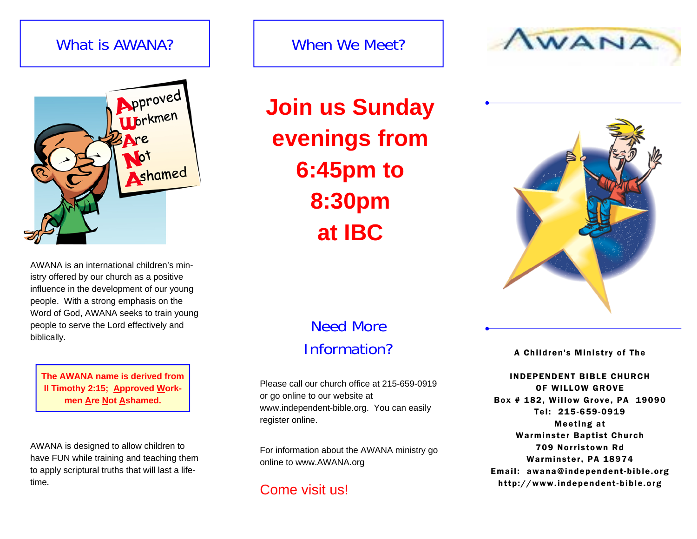# What is AWANA?



AWANA is an international children's ministry offered by our church as a positive influence in the development of our young people. With a strong emphasis on the Word of God, AWANA seeks to train young people to serve the Lord effectively and biblically.

**The AWANA name is derived from II Timothy 2:15; Approved Workmen Are Not Ashamed.** 

AWANA is designed to allow children to have FUN while training and teaching them to apply scriptural truths that will last a lifetime.

# When We Meet?

**Join us Sunday evenings from 6:45pm to 8:30pm at IBC** 





# Need More Information?

Please call our church office at 215-659-0919 or go online to our website at www.independent-bible.org. You can easily register online.

For information about the AWANA ministry go online to www.AWANA.org

## Come visit us!

A Children's Ministry of The

INDEPENDENT BIBLE CHURCH OF WILLOW GROVE Box # 182, Willow Grove, PA 19090 Tel: 215-659-0919 Meeting at Warminster Baptist Church 709 Norristown Rd Warminster, PA 18974 Email: awana@independent-bible.org http://www.independent-bible.org